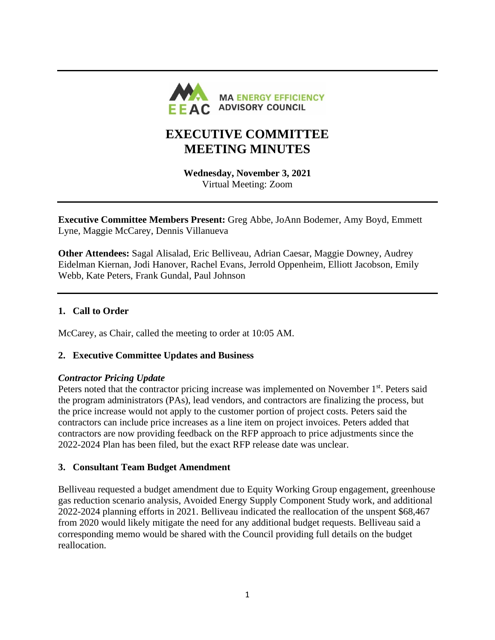

# **EXECUTIVE COMMITTEE MEETING MINUTES**

**Wednesday, November 3, 2021** Virtual Meeting: Zoom

**Executive Committee Members Present:** Greg Abbe, JoAnn Bodemer, Amy Boyd, Emmett Lyne, Maggie McCarey, Dennis Villanueva

**Other Attendees:** Sagal Alisalad, Eric Belliveau, Adrian Caesar, Maggie Downey, Audrey Eidelman Kiernan, Jodi Hanover, Rachel Evans, Jerrold Oppenheim, Elliott Jacobson, Emily Webb, Kate Peters, Frank Gundal, Paul Johnson

## **1. Call to Order**

McCarey, as Chair, called the meeting to order at 10:05 AM.

## **2. Executive Committee Updates and Business**

#### *Contractor Pricing Update*

Peters noted that the contractor pricing increase was implemented on November 1<sup>st</sup>. Peters said the program administrators (PAs), lead vendors, and contractors are finalizing the process, but the price increase would not apply to the customer portion of project costs. Peters said the contractors can include price increases as a line item on project invoices. Peters added that contractors are now providing feedback on the RFP approach to price adjustments since the 2022-2024 Plan has been filed, but the exact RFP release date was unclear.

#### **3. Consultant Team Budget Amendment**

Belliveau requested a budget amendment due to Equity Working Group engagement, greenhouse gas reduction scenario analysis, Avoided Energy Supply Component Study work, and additional 2022-2024 planning efforts in 2021. Belliveau indicated the reallocation of the unspent \$68,467 from 2020 would likely mitigate the need for any additional budget requests. Belliveau said a corresponding memo would be shared with the Council providing full details on the budget reallocation.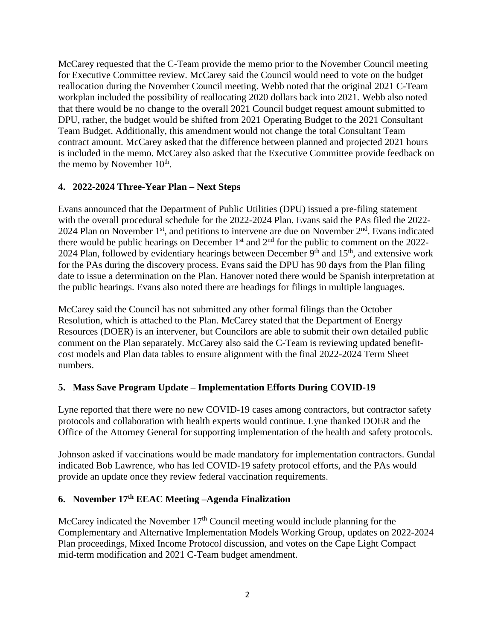McCarey requested that the C-Team provide the memo prior to the November Council meeting for Executive Committee review. McCarey said the Council would need to vote on the budget reallocation during the November Council meeting. Webb noted that the original 2021 C-Team workplan included the possibility of reallocating 2020 dollars back into 2021. Webb also noted that there would be no change to the overall 2021 Council budget request amount submitted to DPU, rather, the budget would be shifted from 2021 Operating Budget to the 2021 Consultant Team Budget. Additionally, this amendment would not change the total Consultant Team contract amount. McCarey asked that the difference between planned and projected 2021 hours is included in the memo. McCarey also asked that the Executive Committee provide feedback on the memo by November  $10^{th}$ .

## **4. 2022-2024 Three-Year Plan – Next Steps**

Evans announced that the Department of Public Utilities (DPU) issued a pre-filing statement with the overall procedural schedule for the 2022-2024 Plan. Evans said the PAs filed the 2022- 2024 Plan on November  $1<sup>st</sup>$ , and petitions to intervene are due on November  $2<sup>nd</sup>$ . Evans indicated there would be public hearings on December  $1<sup>st</sup>$  and  $2<sup>nd</sup>$  for the public to comment on the 2022-2024 Plan, followed by evidentiary hearings between December  $9<sup>th</sup>$  and  $15<sup>th</sup>$ , and extensive work for the PAs during the discovery process. Evans said the DPU has 90 days from the Plan filing date to issue a determination on the Plan. Hanover noted there would be Spanish interpretation at the public hearings. Evans also noted there are headings for filings in multiple languages.

McCarey said the Council has not submitted any other formal filings than the October Resolution, which is attached to the Plan. McCarey stated that the Department of Energy Resources (DOER) is an intervener, but Councilors are able to submit their own detailed public comment on the Plan separately. McCarey also said the C-Team is reviewing updated benefitcost models and Plan data tables to ensure alignment with the final 2022-2024 Term Sheet numbers.

## **5. Mass Save Program Update – Implementation Efforts During COVID-19**

Lyne reported that there were no new COVID-19 cases among contractors, but contractor safety protocols and collaboration with health experts would continue. Lyne thanked DOER and the Office of the Attorney General for supporting implementation of the health and safety protocols.

Johnson asked if vaccinations would be made mandatory for implementation contractors. Gundal indicated Bob Lawrence, who has led COVID-19 safety protocol efforts, and the PAs would provide an update once they review federal vaccination requirements.

#### **6. November 17 th EEAC Meeting –Agenda Finalization**

McCarey indicated the November  $17<sup>th</sup>$  Council meeting would include planning for the Complementary and Alternative Implementation Models Working Group, updates on 2022-2024 Plan proceedings, Mixed Income Protocol discussion, and votes on the Cape Light Compact mid-term modification and 2021 C-Team budget amendment.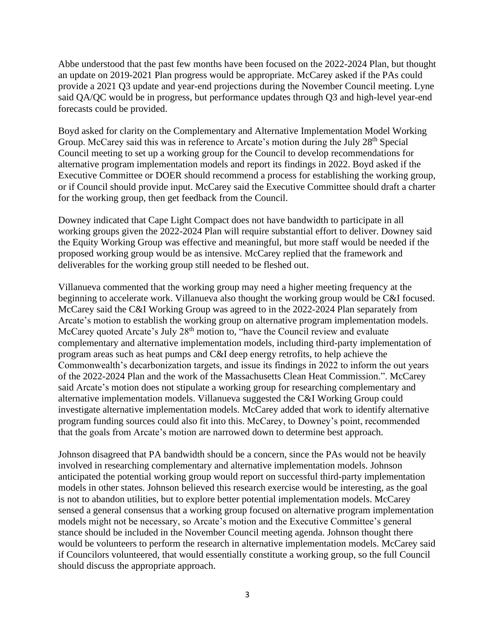Abbe understood that the past few months have been focused on the 2022-2024 Plan, but thought an update on 2019-2021 Plan progress would be appropriate. McCarey asked if the PAs could provide a 2021 Q3 update and year-end projections during the November Council meeting. Lyne said QA/QC would be in progress, but performance updates through Q3 and high-level year-end forecasts could be provided.

Boyd asked for clarity on the Complementary and Alternative Implementation Model Working Group. McCarey said this was in reference to Arcate's motion during the July 28<sup>th</sup> Special Council meeting to set up a working group for the Council to develop recommendations for alternative program implementation models and report its findings in 2022. Boyd asked if the Executive Committee or DOER should recommend a process for establishing the working group, or if Council should provide input. McCarey said the Executive Committee should draft a charter for the working group, then get feedback from the Council.

Downey indicated that Cape Light Compact does not have bandwidth to participate in all working groups given the 2022-2024 Plan will require substantial effort to deliver. Downey said the Equity Working Group was effective and meaningful, but more staff would be needed if the proposed working group would be as intensive. McCarey replied that the framework and deliverables for the working group still needed to be fleshed out.

Villanueva commented that the working group may need a higher meeting frequency at the beginning to accelerate work. Villanueva also thought the working group would be C&I focused. McCarey said the C&I Working Group was agreed to in the 2022-2024 Plan separately from Arcate's motion to establish the working group on alternative program implementation models. McCarey quoted Arcate's July 28<sup>th</sup> motion to, "have the Council review and evaluate complementary and alternative implementation models, including third-party implementation of program areas such as heat pumps and C&I deep energy retrofits, to help achieve the Commonwealth's decarbonization targets, and issue its findings in 2022 to inform the out years of the 2022-2024 Plan and the work of the Massachusetts Clean Heat Commission.". McCarey said Arcate's motion does not stipulate a working group for researching complementary and alternative implementation models. Villanueva suggested the C&I Working Group could investigate alternative implementation models. McCarey added that work to identify alternative program funding sources could also fit into this. McCarey, to Downey's point, recommended that the goals from Arcate's motion are narrowed down to determine best approach.

Johnson disagreed that PA bandwidth should be a concern, since the PAs would not be heavily involved in researching complementary and alternative implementation models. Johnson anticipated the potential working group would report on successful third-party implementation models in other states. Johnson believed this research exercise would be interesting, as the goal is not to abandon utilities, but to explore better potential implementation models. McCarey sensed a general consensus that a working group focused on alternative program implementation models might not be necessary, so Arcate's motion and the Executive Committee's general stance should be included in the November Council meeting agenda. Johnson thought there would be volunteers to perform the research in alternative implementation models. McCarey said if Councilors volunteered, that would essentially constitute a working group, so the full Council should discuss the appropriate approach.